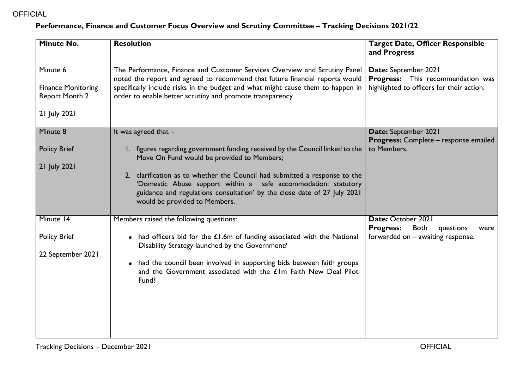## OFFICIAL

## **Performance, Finance and Customer Focus Overview and Scrutiny Committee – Tracking Decisions 2021/22**

| <b>Minute No.</b>                                                              | <b>Resolution</b>                                                                                                                                                                                                                                                                                         | <b>Target Date, Officer Responsible</b><br>and Progress                                                |
|--------------------------------------------------------------------------------|-----------------------------------------------------------------------------------------------------------------------------------------------------------------------------------------------------------------------------------------------------------------------------------------------------------|--------------------------------------------------------------------------------------------------------|
| Minute 6<br><b>Finance Monitoring</b><br><b>Report Month 2</b><br>21 July 2021 | The Performance, Finance and Customer Services Overview and Scrutiny Panel<br>noted the report and agreed to recommend that future financial reports would<br>specifically include risks in the budget and what might cause them to happen in<br>order to enable better scrutiny and promote transparency | Date: September 2021<br>Progress: This recommendation was<br>highlighted to officers for their action. |
| Minute 8<br><b>Policy Brief</b>                                                | It was agreed that $-$<br>1. figures regarding government funding received by the Council linked to the                                                                                                                                                                                                   | Date: September 2021<br>Progress: Complete - response emailed<br>to Members.                           |
| 21 July 2021                                                                   | Move On Fund would be provided to Members;<br>2. clarification as to whether the Council had submitted a response to the<br>'Domestic Abuse support within a safe accommodation: statutory<br>guidance and regulations consultation' by the close date of 27 July 2021<br>would be provided to Members.   |                                                                                                        |
| Minute 14                                                                      | Members raised the following questions:                                                                                                                                                                                                                                                                   | Date: October 2021<br><b>Progress:</b><br><b>Both</b><br>questions<br>were                             |
| <b>Policy Brief</b><br>22 September 2021                                       | • had officers bid for the £1.6m of funding associated with the National<br>Disability Strategy launched by the Government?<br>• had the council been involved in supporting bids between faith groups<br>and the Government associated with the £1m Faith New Deal Pilot<br>Fund?                        | forwarded on - awaiting response.                                                                      |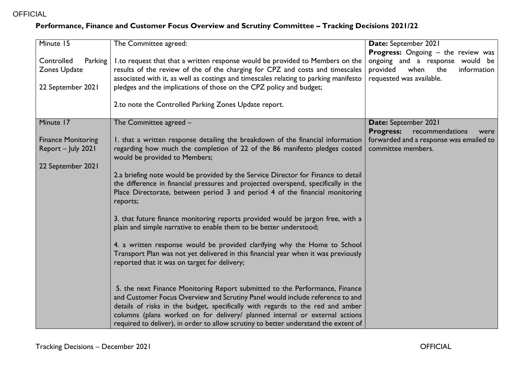## **Performance, Finance and Customer Focus Overview and Scrutiny Committee – Tracking Decisions 2021/22**

| Minute 15                                                            | The Committee agreed:                                                                                                                                                                                                                                                                                                                                                                                                                                                                                                                                                                                                                   | Date: September 2021                                                                                                                               |
|----------------------------------------------------------------------|-----------------------------------------------------------------------------------------------------------------------------------------------------------------------------------------------------------------------------------------------------------------------------------------------------------------------------------------------------------------------------------------------------------------------------------------------------------------------------------------------------------------------------------------------------------------------------------------------------------------------------------------|----------------------------------------------------------------------------------------------------------------------------------------------------|
| Controlled<br>Parking<br>Zones Update<br>22 September 2021           | 1.to request that that a written response would be provided to Members on the<br>results of the review of the of the charging for CPZ and costs and timescales<br>associated with it, as well as costings and timescales relating to parking manifesto<br>pledges and the implications of those on the CPZ policy and budget;                                                                                                                                                                                                                                                                                                           | <b>Progress:</b> Ongoing - the review was<br>ongoing and a response would be<br>when<br>provided<br>the<br>information<br>requested was available. |
|                                                                      | 2.to note the Controlled Parking Zones Update report.                                                                                                                                                                                                                                                                                                                                                                                                                                                                                                                                                                                   |                                                                                                                                                    |
| Minute 17                                                            | The Committee agreed -                                                                                                                                                                                                                                                                                                                                                                                                                                                                                                                                                                                                                  | Date: September 2021<br><b>Progress:</b><br>recommendations<br>were                                                                                |
| <b>Finance Monitoring</b><br>Report - July 2021<br>22 September 2021 | 1. that a written response detailing the breakdown of the financial information<br>regarding how much the completion of 22 of the 86 manifesto pledges costed<br>would be provided to Members;<br>2.a briefing note would be provided by the Service Director for Finance to detail<br>the difference in financial pressures and projected overspend, specifically in the<br>Place Directorate, between period 3 and period 4 of the financial monitoring<br>reports;<br>3. that future finance monitoring reports provided would be jargon free, with a<br>plain and simple narrative to enable them to be better understood;          | forwarded and a response was emailed to<br>committee members.                                                                                      |
|                                                                      | 4. a written response would be provided clarifying why the Home to School<br>Transport Plan was not yet delivered in this financial year when it was previously<br>reported that it was on target for delivery;<br>5. the next Finance Monitoring Report submitted to the Performance, Finance<br>and Customer Focus Overview and Scrutiny Panel would include reference to and<br>details of risks in the budget, specifically with regards to the red and amber<br>columns (plans worked on for delivery/ planned internal or external actions<br>required to deliver), in order to allow scrutiny to better understand the extent of |                                                                                                                                                    |